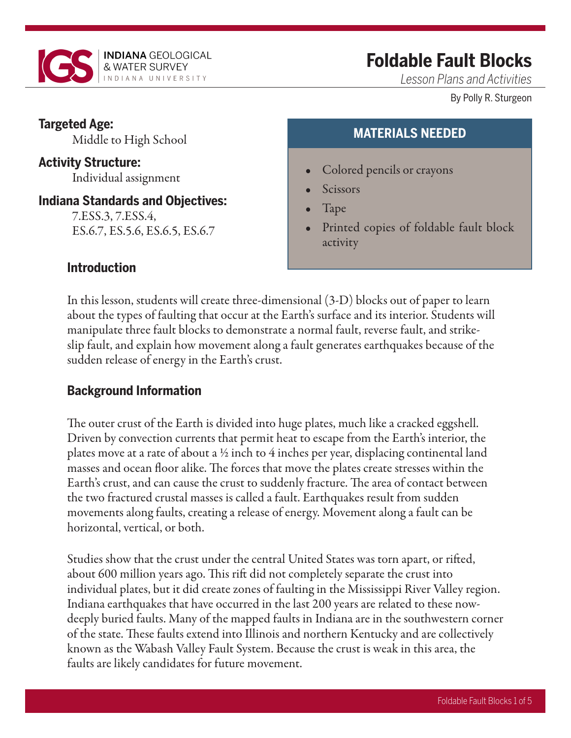

# **Foldable Fault Blocks**

*Lesson Plans and Activities*

#### By Polly R. Sturgeon

## **Targeted Age:**

Middle to High School

# **Activity Structure:**

Individual assignment

#### **Indiana Standards and Objectives:**

7.ESS.3, 7.ESS.4, ES.6.7, ES.5.6, ES.6.5, ES.6.7

## **MATERIALS NEEDED**

- Colored pencils or crayons
- **Scissors**
- Tape
- Printed copies of foldable fault block activity

#### **Introduction**

In this lesson, students will create three-dimensional (3-D) blocks out of paper to learn about the types of faulting that occur at the Earth's surface and its interior. Students will manipulate three fault blocks to demonstrate a normal fault, reverse fault, and strikeslip fault, and explain how movement along a fault generates earthquakes because of the sudden release of energy in the Earth's crust.

### **Background Information**

The outer crust of the Earth is divided into huge plates, much like a cracked eggshell. Driven by convection currents that permit heat to escape from the Earth's interior, the plates move at a rate of about a  $\frac{1}{2}$  inch to 4 inches per year, displacing continental land masses and ocean floor alike. The forces that move the plates create stresses within the Earth's crust, and can cause the crust to suddenly fracture. The area of contact between the two fractured crustal masses is called a fault. Earthquakes result from sudden movements along faults, creating a release of energy. Movement along a fault can be horizontal, vertical, or both.

Studies show that the crust under the central United States was torn apart, or rifted, about 600 million years ago. This rift did not completely separate the crust into individual plates, but it did create zones of faulting in the Mississippi River Valley region. Indiana earthquakes that have occurred in the last 200 years are related to these nowdeeply buried faults. Many of the mapped faults in Indiana are in the southwestern corner of the state. These faults extend into Illinois and northern Kentucky and are collectively known as the Wabash Valley Fault System. Because the crust is weak in this area, the faults are likely candidates for future movement.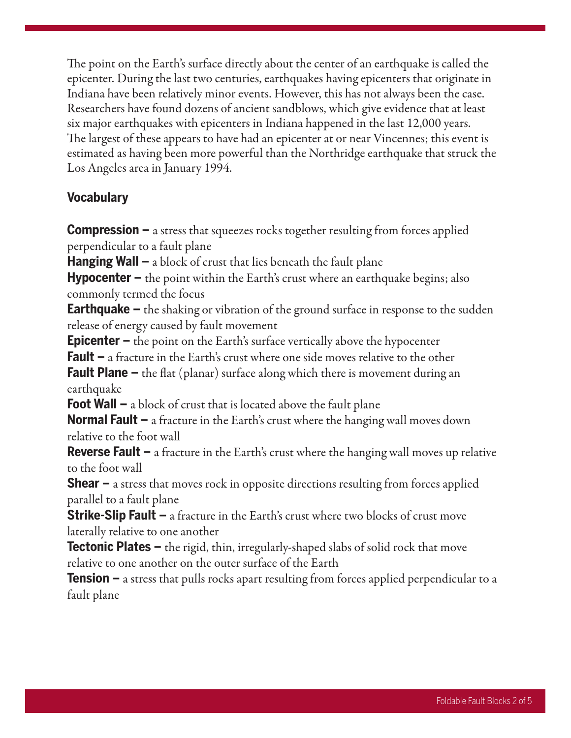The point on the Earth's surface directly about the center of an earthquake is called the epicenter. During the last two centuries, earthquakes having epicenters that originate in Indiana have been relatively minor events. However, this has not always been the case. Researchers have found dozens of ancient sandblows, which give evidence that at least six major earthquakes with epicenters in Indiana happened in the last 12,000 years. The largest of these appears to have had an epicenter at or near Vincennes; this event is estimated as having been more powerful than the Northridge earthquake that struck the Los Angeles area in January 1994.

#### **Vocabulary**

**Compression –** a stress that squeezes rocks together resulting from forces applied perpendicular to a fault plane

**Hanging Wall –** a block of crust that lies beneath the fault plane

**Hypocenter –** the point within the Earth's crust where an earthquake begins; also commonly termed the focus

**Earthquake –** the shaking or vibration of the ground surface in response to the sudden release of energy caused by fault movement

**Epicenter –** the point on the Earth's surface vertically above the hypocenter

**Fault –** a fracture in the Earth's crust where one side moves relative to the other

**Fault Plane –** the flat (planar) surface along which there is movement during an earthquake

**Foot Wall –** a block of crust that is located above the fault plane

**Normal Fault –** a fracture in the Earth's crust where the hanging wall moves down relative to the foot wall

**Reverse Fault –** a fracture in the Earth's crust where the hanging wall moves up relative to the foot wall

**Shear –** a stress that moves rock in opposite directions resulting from forces applied parallel to a fault plane

**Strike-Slip Fault –** a fracture in the Earth's crust where two blocks of crust move laterally relative to one another

**Tectonic Plates –** the rigid, thin, irregularly-shaped slabs of solid rock that move relative to one another on the outer surface of the Earth

**Tension –** a stress that pulls rocks apart resulting from forces applied perpendicular to a fault plane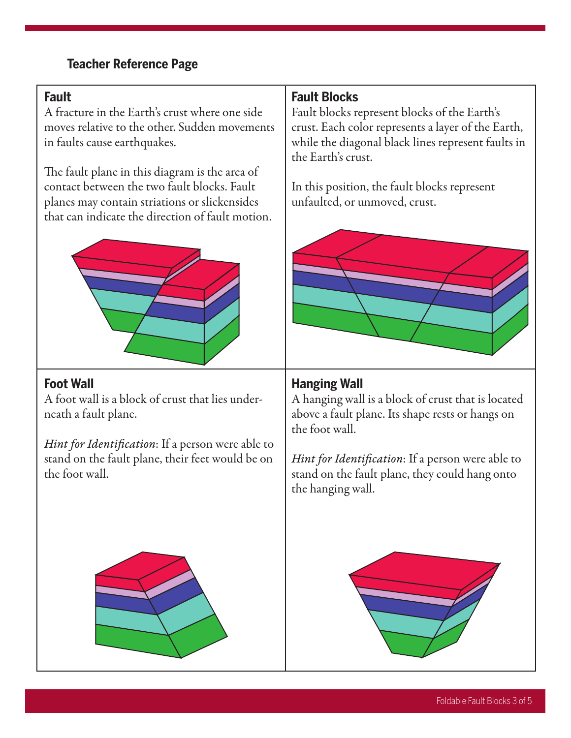## **Teacher Reference Page**

#### **Fault**

A fracture in the Earth's crust where one side moves relative to the other. Sudden movements in faults cause earthquakes.

The fault plane in this diagram is the area of contact between the two fault blocks. Fault planes may contain striations or slickensides that can indicate the direction of fault motion.



#### **Foot Wall**

A foot wall is a block of crust that lies underneath a fault plane.

*Hint for Identification*: If a person were able to stand on the fault plane, their feet would be on the foot wall.

## **Fault Blocks**

Fault blocks represent blocks of the Earth's crust. Each color represents a layer of the Earth, while the diagonal black lines represent faults in the Earth's crust.

In this position, the fault blocks represent unfaulted, or unmoved, crust.



#### **Hanging Wall**

A hanging wall is a block of crust that is located above a fault plane. Its shape rests or hangs on the foot wall.

*Hint for Identification*: If a person were able to stand on the fault plane, they could hang onto the hanging wall.



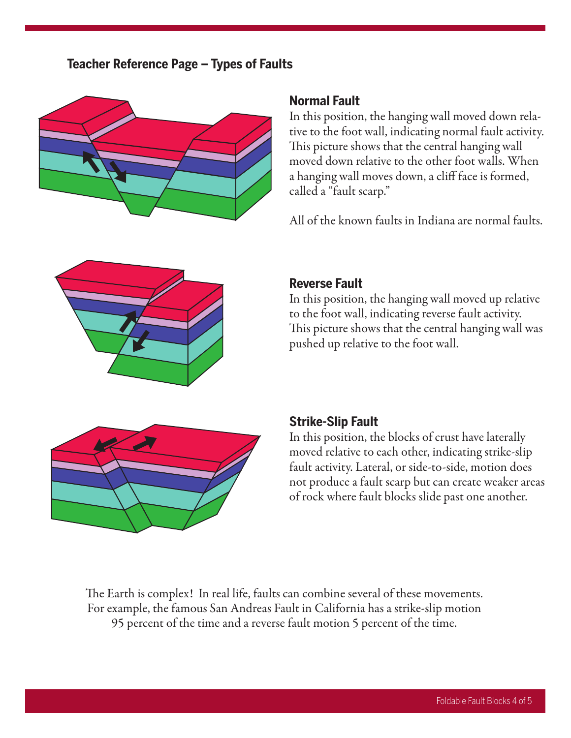#### **Teacher Reference Page – Types of Faults**



#### **Normal Fault**

In this position, the hanging wall moved down relative to the foot wall, indicating normal fault activity. This picture shows that the central hanging wall moved down relative to the other foot walls. When a hanging wall moves down, a cliff face is formed, called a "fault scarp."

All of the known faults in Indiana are normal faults.



#### **Reverse Fault**

In this position, the hanging wall moved up relative to the foot wall, indicating reverse fault activity. This picture shows that the central hanging wall was pushed up relative to the foot wall.



#### **Strike-Slip Fault**

In this position, the blocks of crust have laterally moved relative to each other, indicating strike-slip fault activity. Lateral, or side-to-side, motion does not produce a fault scarp but can create weaker areas of rock where fault blocks slide past one another.

The Earth is complex! In real life, faults can combine several of these movements. For example, the famous San Andreas Fault in California has a strike-slip motion 95 percent of the time and a reverse fault motion 5 percent of the time.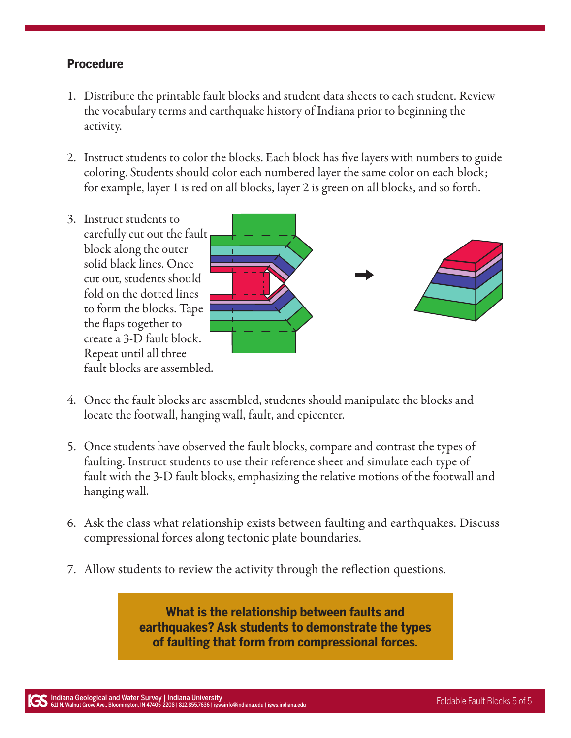#### **Procedure**

- 1. Distribute the printable fault blocks and student data sheets to each student. Review the vocabulary terms and earthquake history of Indiana prior to beginning the activity.
- 2. Instruct students to color the blocks. Each block has five layers with numbers to guide coloring. Students should color each numbered layer the same color on each block; for example, layer 1 is red on all blocks, layer 2 is green on all blocks, and so forth.
- 3. Instruct students to carefully cut out the fault block along the outer solid black lines. Once cut out, students should fold on the dotted lines to form the blocks. Tape the flaps together to create a 3-D fault block. Repeat until all three fault blocks are assembled.



- 4. Once the fault blocks are assembled, students should manipulate the blocks and locate the footwall, hanging wall, fault, and epicenter.
- 5. Once students have observed the fault blocks, compare and contrast the types of faulting. Instruct students to use their reference sheet and simulate each type of fault with the 3-D fault blocks, emphasizing the relative motions of the footwall and hanging wall.
- 6. Ask the class what relationship exists between faulting and earthquakes. Discuss compressional forces along tectonic plate boundaries.
- 7. Allow students to review the activity through the reflection questions.

**What is the relationship between faults and earthquakes? Ask students to demonstrate the types of faulting that form from compressional forces.**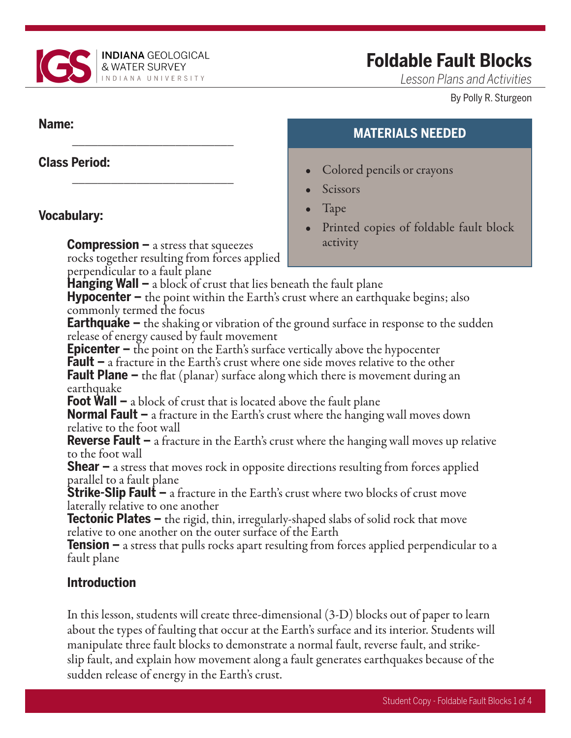

\_\_\_\_\_\_\_\_\_\_\_\_\_\_\_\_\_\_\_\_\_\_\_\_\_

\_\_\_\_\_\_\_\_\_\_\_\_\_\_\_\_\_\_\_\_\_\_\_\_\_

# **Foldable Fault Blocks**

**MATERIALS NEEDED**

Printed copies of foldable fault block

• Colored pencils or crayons

**Scissors** 

activity

• Tape

*Lesson Plans and Activities*

#### By Polly R. Sturgeon

#### **Name:**

## **Class Period:**

## **Vocabulary:**

**Compression –** a stress that squeezes rocks together resulting from forces applied perpendicular to a fault plane

**Hanging Wall –** a block of crust that lies beneath the fault plane

**Hypocenter –** the point within the Earth's crust where an earthquake begins; also commonly termed the focus

**Earthquake –** the shaking or vibration of the ground surface in response to the sudden release of energy caused by fault movement

**Epicenter –** the point on the Earth's surface vertically above the hypocenter

**Fault –** a fracture in the Earth's crust where one side moves relative to the other

**Fault Plane –** the flat (planar) surface along which there is movement during an earthquake

**Foot Wall –** a block of crust that is located above the fault plane

**Normal Fault –** a fracture in the Earth's crust where the hanging wall moves down relative to the foot wall

**Reverse Fault –** a fracture in the Earth's crust where the hanging wall moves up relative to the foot wall

**Shear –** a stress that moves rock in opposite directions resulting from forces applied parallel to a fault plane

**Strike-Slip Fault –** a fracture in the Earth's crust where two blocks of crust move laterally relative to one another

**Tectonic Plates –** the rigid, thin, irregularly-shaped slabs of solid rock that move relative to one another on the outer surface of the Earth

**Tension –** a stress that pulls rocks apart resulting from forces applied perpendicular to a fault plane

## **Introduction**

In this lesson, students will create three-dimensional (3-D) blocks out of paper to learn about the types of faulting that occur at the Earth's surface and its interior. Students will manipulate three fault blocks to demonstrate a normal fault, reverse fault, and strikeslip fault, and explain how movement along a fault generates earthquakes because of the sudden release of energy in the Earth's crust.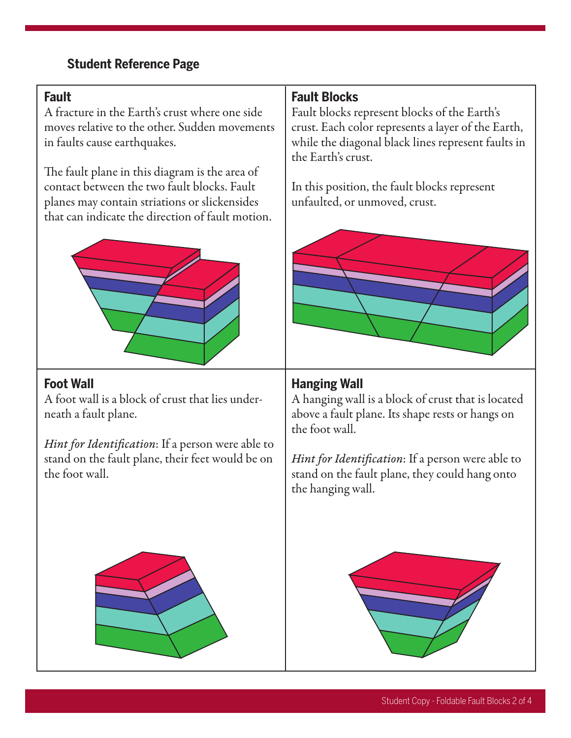## **Student Reference Page**

#### **Fault**

A fracture in the Earth's crust where one side moves relative to the other. Sudden movements in faults cause earthquakes.

The fault plane in this diagram is the area of contact between the two fault blocks. Fault planes may contain striations or slickensides that can indicate the direction of fault motion.



#### **Foot Wall**

A foot wall is a block of crust that lies underneath a fault plane.

*Hint for Identification*: If a person were able to stand on the fault plane, their feet would be on the foot wall.

## **Fault Blocks**

Fault blocks represent blocks of the Earth's crust. Each color represents a layer of the Earth, while the diagonal black lines represent faults in the Earth's crust.

In this position, the fault blocks represent unfaulted, or unmoved, crust.



#### **Hanging Wall**

A hanging wall is a block of crust that is located above a fault plane. Its shape rests or hangs on the foot wall.

*Hint for Identification*: If a person were able to stand on the fault plane, they could hang onto the hanging wall.



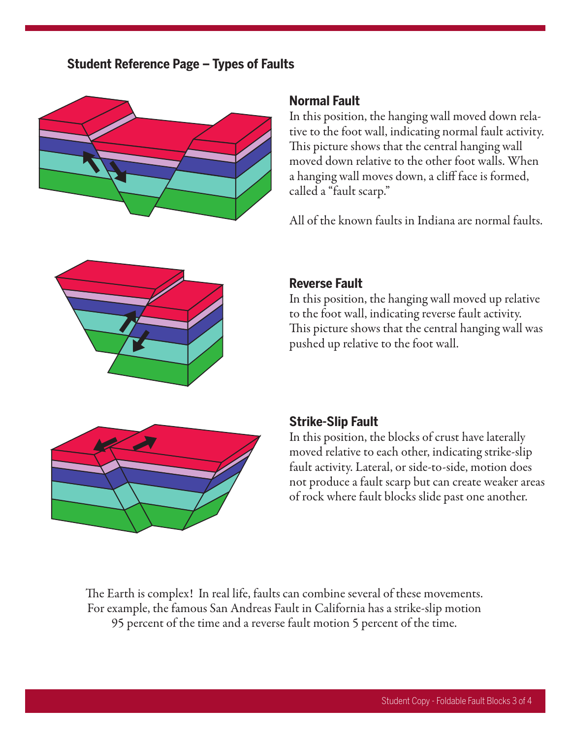#### **Student Reference Page – Types of Faults**



#### **Normal Fault**

In this position, the hanging wall moved down relative to the foot wall, indicating normal fault activity. This picture shows that the central hanging wall moved down relative to the other foot walls. When a hanging wall moves down, a cliff face is formed, called a "fault scarp."

All of the known faults in Indiana are normal faults.



#### **Reverse Fault**

In this position, the hanging wall moved up relative to the foot wall, indicating reverse fault activity. This picture shows that the central hanging wall was pushed up relative to the foot wall.



#### **Strike-Slip Fault**

In this position, the blocks of crust have laterally moved relative to each other, indicating strike-slip fault activity. Lateral, or side-to-side, motion does not produce a fault scarp but can create weaker areas of rock where fault blocks slide past one another.

The Earth is complex! In real life, faults can combine several of these movements. For example, the famous San Andreas Fault in California has a strike-slip motion 95 percent of the time and a reverse fault motion 5 percent of the time.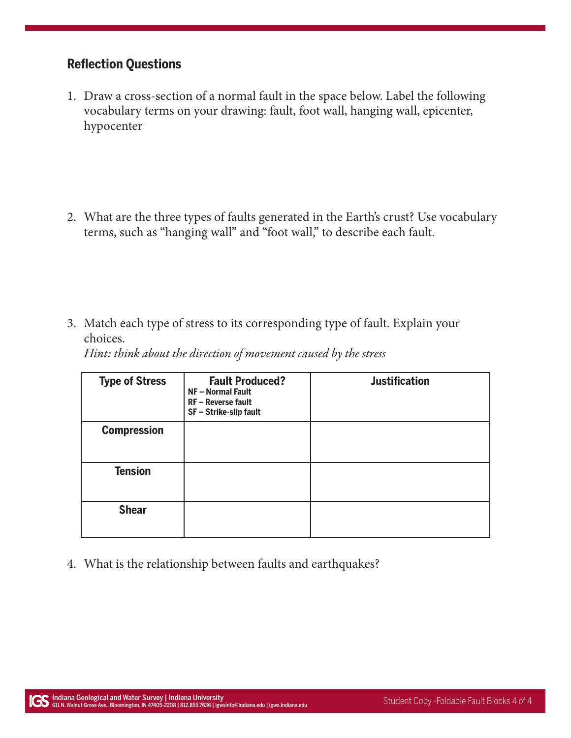#### **Reflection Questions**

1. Draw a cross-section of a normal fault in the space below. Label the following vocabulary terms on your drawing: fault, foot wall, hanging wall, epicenter, hypocenter

2. What are the three types of faults generated in the Earth's crust? Use vocabulary terms, such as "hanging wall" and "foot wall," to describe each fault.

3. Match each type of stress to its corresponding type of fault. Explain your choices.

*Hint: think about the direction of movement caused by the stress*

| <b>Type of Stress</b> | <b>Fault Produced?</b><br>NF - Normal Fault<br>RF - Reverse fault<br>SF - Strike-slip fault | <b>Justification</b> |
|-----------------------|---------------------------------------------------------------------------------------------|----------------------|
| <b>Compression</b>    |                                                                                             |                      |
| <b>Tension</b>        |                                                                                             |                      |
| <b>Shear</b>          |                                                                                             |                      |

4. What is the relationship between faults and earthquakes?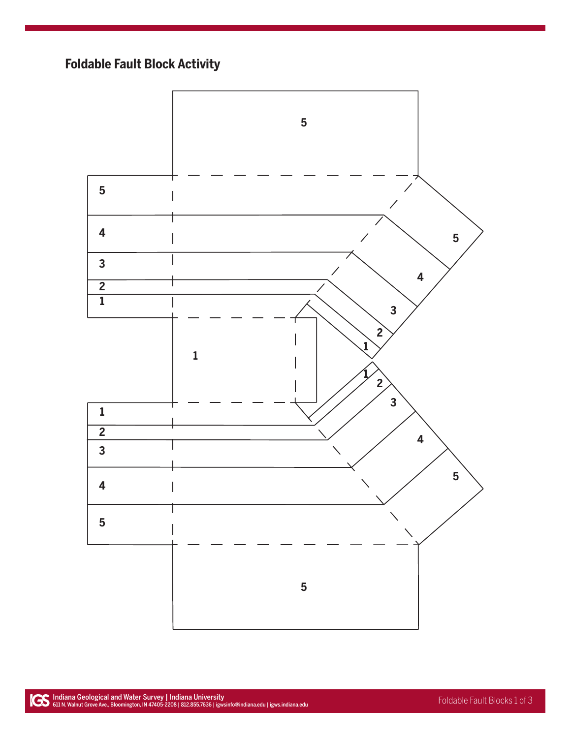## **Foldable Fault Block Activity**

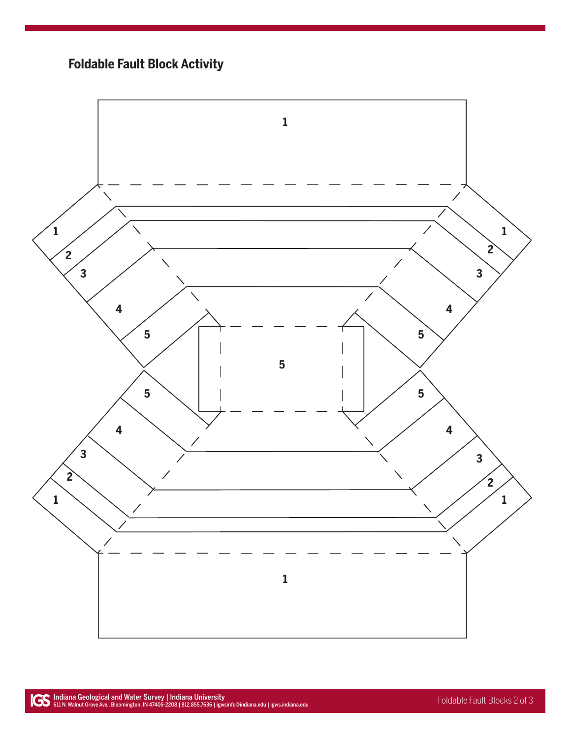## **Foldable Fault Block Activity**